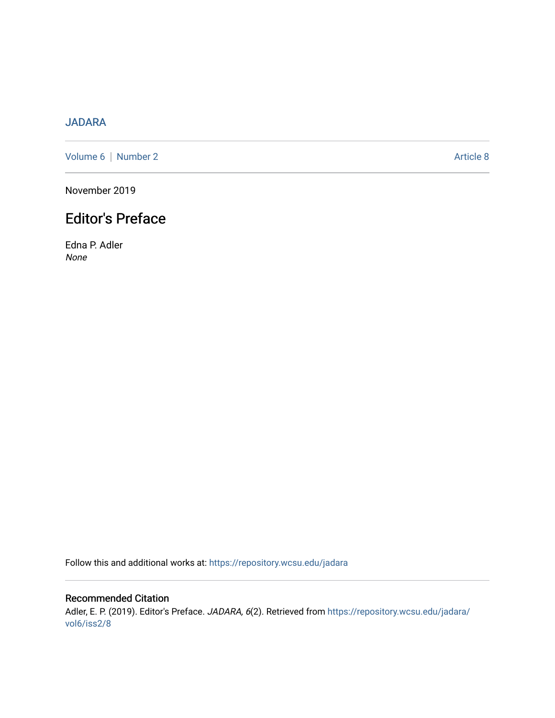## [JADARA](https://repository.wcsu.edu/jadara)

[Volume 6](https://repository.wcsu.edu/jadara/vol6) | [Number 2](https://repository.wcsu.edu/jadara/vol6/iss2) Article 8

November 2019

## Editor's Preface

Edna P. Adler None

Follow this and additional works at: [https://repository.wcsu.edu/jadara](https://repository.wcsu.edu/jadara?utm_source=repository.wcsu.edu%2Fjadara%2Fvol6%2Fiss2%2F8&utm_medium=PDF&utm_campaign=PDFCoverPages)

Recommended Citation Adler, E. P. (2019). Editor's Preface. JADARA, 6(2). Retrieved from [https://repository.wcsu.edu/jadara/](https://repository.wcsu.edu/jadara/vol6/iss2/8?utm_source=repository.wcsu.edu%2Fjadara%2Fvol6%2Fiss2%2F8&utm_medium=PDF&utm_campaign=PDFCoverPages) [vol6/iss2/8](https://repository.wcsu.edu/jadara/vol6/iss2/8?utm_source=repository.wcsu.edu%2Fjadara%2Fvol6%2Fiss2%2F8&utm_medium=PDF&utm_campaign=PDFCoverPages)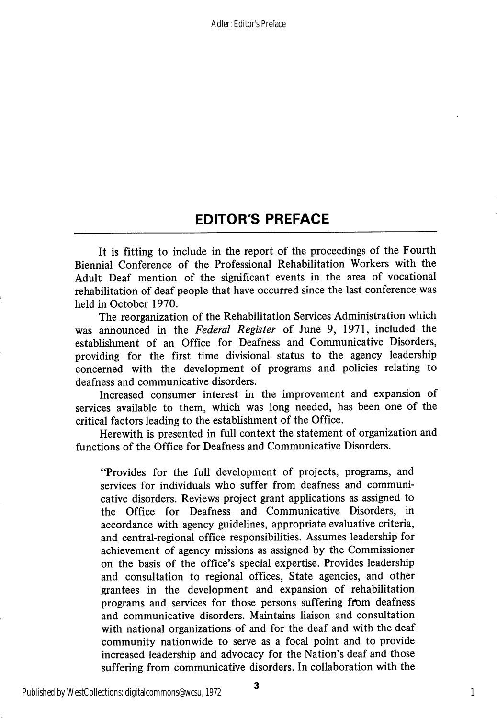## EDITOR'S PREFACE

It is fitting to include in the report of the proceedings of the Fourth Biennial Conference of the Professional Rehabilitation Workers with the Adult Deaf mention of the significant events in the area of vocational rehabilitation of deaf people that have occurred since the last conference was held in October 1970.

The reorganization of the Rehabilitation Services Administration which was announced in the Federal Register of June 9, 1971, included the establishment of an Office for Deafness and Communicative Disorders, providing for the first time divisional status to the agency leadership concerned with the development of programs and policies relating to deafness and communicative disorders.

Increased consumer interest in the improvement and expansion of services available to them, which was long needed, has been one of the critical factors leading to the establishment of the Office.

Herewith is presented in full context the statement of organization and functions of the Office for Deafness and Communicative Disorders.

"Provides for the full development of projects, programs, and services for individuals who suffer from deafness and communi cative disorders. Reviews project grant applications as assigned to the Office for Deafness and Communicative Disorders, in accordance with agency guidelines, appropriate evaluative criteria, and central-regional office responsibilities. Assumes leadership for achievement of agency missions as assigned by the Commissioner on the basis of the office's special expertise. Provides leadership and consultation to regional offices. State agencies, and other grantees in the development and expansion of rehabilitation programs and services for those persons suffering from deafness and communicative disorders. Maintains liaison and consultation with national organizations of and for the deaf and with the deaf community nationwide to serve as a focal point and to provide increased leadership and advocacy for the Nation's deaf and those suffering from communicative disorders. In collaboration with the

1